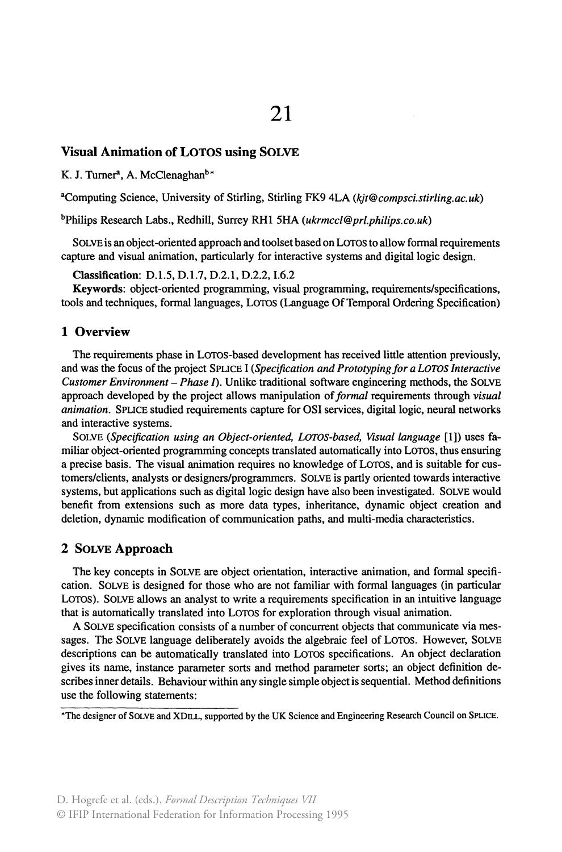## Visual Animation of LOTOS using SOLVE

K. J. Turner<sup>a</sup>, A. McClenaghan<sup>b\*</sup>

•computing Science, University of Stirling, Stirling FK9 4LA *(kjt@compsci.stirling.ac.uk)* 

bPhilips Research Labs., Redhill, Surrey RHl 5HA *(ukrmccl@prl.philips.co.uk)* 

SOLVE is an object-oriented approach and toolset based on LOTOS to allow formal requirements capture and visual animation, particularly for interactive systems and digital logic design.

Classification: D.l.S, D.l.7, D.2.1, D.2.2, 1.6.2

Keywords: object-oriented programming, visual programming, requirements/specifications, tools and techniques, formallanguages, Loros (Language Of Temporal Ordering Specification)

## 1 Overview

The requirements phase in Loros-based development has received little attention previously, and was the focus of the project SPUCE 1 *(Specijication and Prototyping for a LOTOS Interactive Customer Environment – Phase I*). Unlike traditional software engineering methods, the SOLVE approach developed by the project allows manipulation of *formal* requirements through *visual animation.* SPUCE studied requirements capture for OSI services, digital logic, neural networks and interactive systems.

SOLVE *(Specijication using an Object-oriented, LOTOS-based, Visuallanguage* [1]) uses familiar object-oriented prograrnming concepts translated automatically into Loros, thus ensuring a precise basis. The visual animation requires no knowledge of Loros, and is suitable for customers/clients, analysts or designers/programmers. SOLVE is partly oriented towards interactive systems, but applications such as digital logic design have also been investigated. SOLVE would benefit from extensions such as more data types, inheritance, dynamic object creation and deletion, dynamic modification of communication paths, and multi-media characteristics.

## 2 SOLVE Approach

The key concepts in SOLVE are object orientation, interactive animation, and formal specification. SOLVE is designed for those who are not familiar with formal languages (in particular Loros). SOLVE allows an analyst to write a requirements specification in an intuitive language that is automatically translated into Loros for exploration through visual animation.

A SOLVE specification consists of a number of concurrent objects that communicate via messages. The SOLVE language deliberately avoids the algebraic feei of Loros. However, SOLVE descriptions can be automatically translated into Loros specifications. An object declaration gives its name, instance parameter sorts and method parameter sorts; an object definition describes inner details. Behaviour within any single simple object is sequential. Method definitions use the following statements:

\*The designer of SOLVE and XDILL, supported by the UK Science and Engineering Research Council on SPLICE.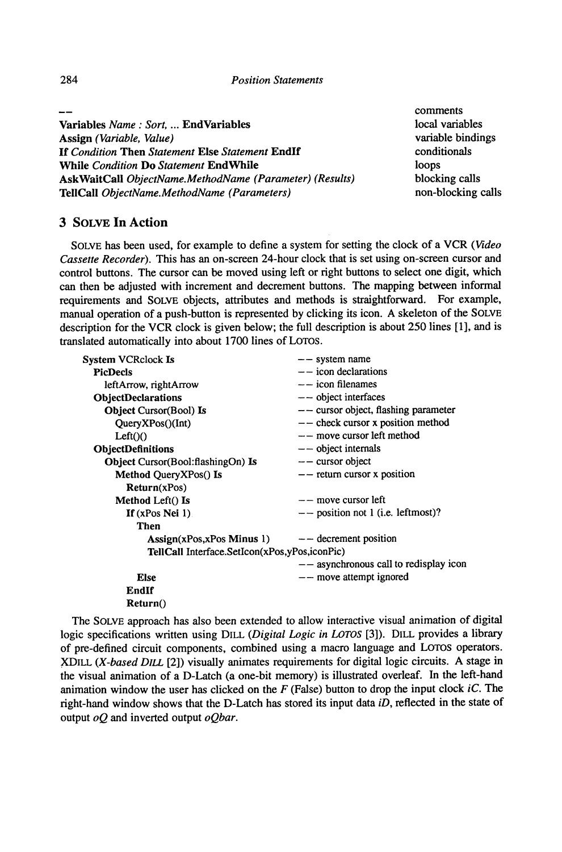comments local variables variable bindings conditionals loops blocking calls non-blocking calls

Variables *Name : Sort,* ... EndVariables Assign *(Variable, Value)*  If *Condition* Then *Statement* Else *Statement* Endlf While *Condition* Do *Statement* EndWhile AskWaitCall *ObjectName.MethodName (Parameter) (Results)*  TeiiCall *ObjectName.MethodName (Parameters)* 

3 SOLVE In Action

SOL VE has been used, for example to define a system for setting the clock of a VCR *(Video Cassette Recorder).* This has an on-screen 24-hour clock that is set using on-screen cursor and control buttons. The cursor can be moved using left or right buttons to select one digit, which can then be adjusted with increment and decrement buttons. The mapping between informal requirements and SOLVE objects, attributes and methods is straightforward. For example, manual operation of a push-button is represented by clicking its icon. A skeleton of the SOLVE description for the VCR clock is given below; the full description is about  $250$  lines [1], and is translated automatically into about 1700 lines of LOTOS.

| System VCRclock Is                                                    | $--$ system name                         |
|-----------------------------------------------------------------------|------------------------------------------|
| <b>PicDecls</b>                                                       | $-$ icon declarations                    |
| leftArrow, rightArrow                                                 | $-$ icon filenames                       |
| <b>ObjectDeclarations</b>                                             | $--$ object interfaces                   |
| Object Cursor(Bool) Is                                                | $--$ cursor object, flashing parameter   |
| QueryXPos() (Int)                                                     | $---$ check cursor x position method     |
| Left()()                                                              | -- move cursor left method               |
| ObjectDefinitions                                                     | $--$ object internals                    |
| <b>Object Cursor</b> (Bool:flashingOn) Is                             | $-$ cursor object                        |
| Method QueryXPos() Is                                                 | $-$ return cursor x position             |
| Return(xPos)                                                          |                                          |
| Method Left() Is                                                      | $--$ move cursor left                    |
| If $(xPos$ Nei 1)                                                     | $--$ position not 1 (i.e. leftmost)?     |
| Then                                                                  |                                          |
| $\text{Assign}(x\text{Pos},x\text{Pos Minus 1})$ - decrement position |                                          |
| TellCall Interface.SetIcon(xPos,yPos,iconPic)                         |                                          |
|                                                                       | $--$ asynchronous call to redisplay icon |
| <b>Else</b>                                                           | $--$ move attempt ignored                |
| EndIf                                                                 |                                          |
| Return()                                                              |                                          |
|                                                                       |                                          |

The SOLVE approach has also been extended to allow interactive visual animation of digital logic specifications written using DILL *(Digital Logic in LOTOS* [3]). DILL provides a library of pre-defined circuit components, combined using a macro language and LOTOS operators. XDILL *(X-based DILL* [2]) visually animates requirements for digital logic circuits. A stage in the visual animation of a D-Latch (a one-bit memory) is illustrated overleaf. In the left-hand animation window the user has clicked on the *F* (False) button to drop the input clock *iC.* The right-hand window shows that the D-Latch has stored its input data *iD,* reftected in the state of output *oQ* and inverted output *oQbar.*